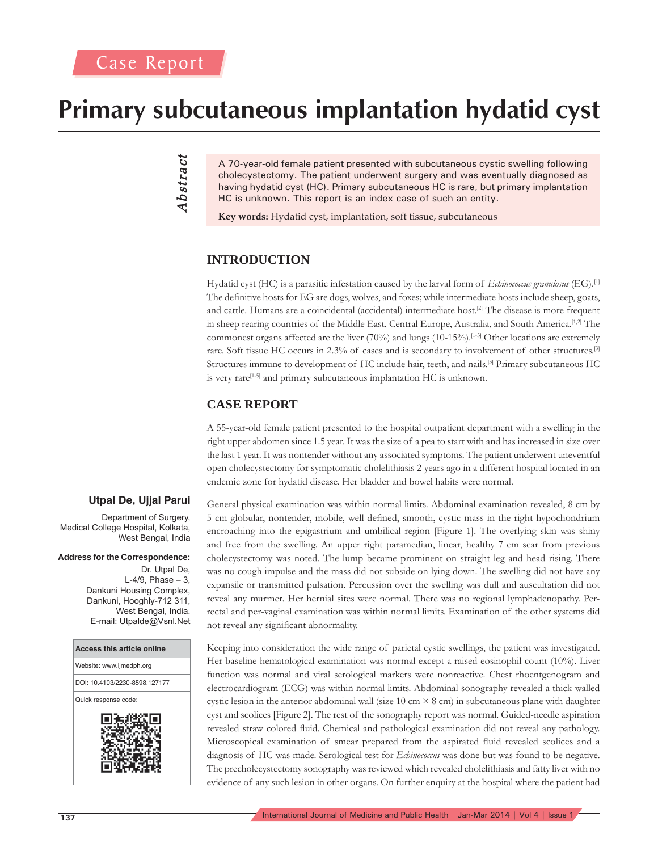# **Primary subcutaneous implantation hydatid cyst**

Abstract *Abstract*

A 70-year-old female patient presented with subcutaneous cystic swelling following cholecystectomy. The patient underwent surgery and was eventually diagnosed as having hydatid cyst (HC). Primary subcutaneous HC is rare, but primary implantation HC is unknown. This report is an index case of such an entity.

**Key words:** Hydatid cyst, implantation, soft tissue, subcutaneous

# **INTRODUCTION**

Hydatid cyst (HC) is a parasitic infestation caused by the larval form of *Echinococcus granulosus* (EG).[1] The definitive hosts for EG are dogs, wolves, and foxes; while intermediate hosts include sheep, goats, and cattle. Humans are a coincidental (accidental) intermediate host.<sup>[2]</sup> The disease is more frequent in sheep rearing countries of the Middle East, Central Europe, Australia, and South America.<sup>[1,2]</sup> The commonest organs affected are the liver (70%) and lungs (10-15%).[1-3] Other locations are extremely rare. Soft tissue HC occurs in 2.3% of cases and is secondary to involvement of other structures.[3] Structures immune to development of HC include hair, teeth, and nails.[3] Primary subcutaneous HC is very rare<sup>[1-5]</sup> and primary subcutaneous implantation HC is unknown.

## **CASE REPORT**

A 55-year-old female patient presented to the hospital outpatient department with a swelling in the right upper abdomen since 1.5 year. It was the size of a pea to start with and has increased in size over the last 1 year. It was nontender without any associated symptoms. The patient underwent uneventful open cholecystectomy for symptomatic cholelithiasis 2 years ago in a different hospital located in an endemic zone for hydatid disease. Her bladder and bowel habits were normal.

### **Utpal De, Ujjal Parui**

Department of Surgery, Medical College Hospital, Kolkata, West Bengal, India

#### **Address for the Correspondence:**

Dr. Utpal De,  $L-4/9$ , Phase  $-3$ , Dankuni Housing Complex, Dankuni, Hooghly-712 311, West Bengal, India. E-mail: Utpalde@Vsnl.Net



General physical examination was within normal limits. Abdominal examination revealed, 8 cm by 5 cm globular, nontender, mobile, well-defined, smooth, cystic mass in the right hypochondrium encroaching into the epigastrium and umbilical region [Figure 1]. The overlying skin was shiny and free from the swelling. An upper right paramedian, linear, healthy 7 cm scar from previous cholecystectomy was noted. The lump became prominent on straight leg and head rising. There was no cough impulse and the mass did not subside on lying down. The swelling did not have any expansile or transmitted pulsation. Percussion over the swelling was dull and auscultation did not reveal any murmer. Her hernial sites were normal. There was no regional lymphadenopathy. Perrectal and per-vaginal examination was within normal limits. Examination of the other systems did not reveal any significant abnormality.

Keeping into consideration the wide range of parietal cystic swellings, the patient was investigated. Her baseline hematological examination was normal except a raised eosinophil count (10%). Liver function was normal and viral serological markers were nonreactive. Chest rhoentgenogram and electrocardiogram (ECG) was within normal limits. Abdominal sonography revealed a thick-walled cystic lesion in the anterior abdominal wall (size 10 cm  $\times$  8 cm) in subcutaneous plane with daughter cyst and scolices [Figure 2]. The rest of the sonography report was normal. Guided-needle aspiration revealed straw colored fluid. Chemical and pathological examination did not reveal any pathology. Microscopical examination of smear prepared from the aspirated fluid revealed scolices and a diagnosis of HC was made. Serological test for *Echinococcus* was done but was found to be negative. The precholecystectomy sonography was reviewed which revealed cholelithiasis and fatty liver with no evidence of any such lesion in other organs. On further enquiry at the hospital where the patient had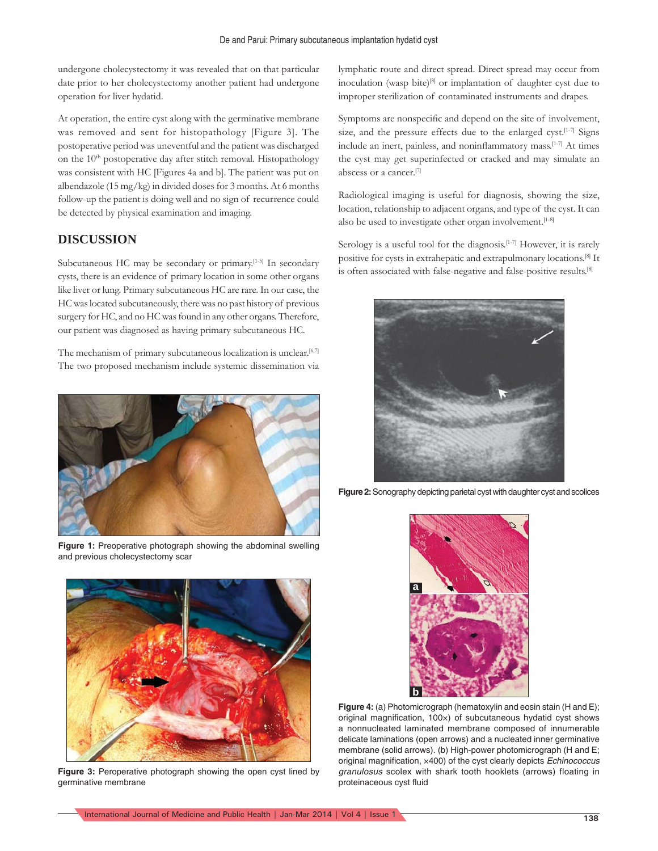undergone cholecystectomy it was revealed that on that particular date prior to her cholecystectomy another patient had undergone operation for liver hydatid.

At operation, the entire cyst along with the germinative membrane was removed and sent for histopathology [Figure 3]. The postoperative period was uneventful and the patient was discharged on the  $10<sup>th</sup>$  postoperative day after stitch removal. Histopathology was consistent with HC [Figures 4a and b]. The patient was put on albendazole (15 mg/kg) in divided doses for 3 months. At 6 months follow-up the patient is doing well and no sign of recurrence could be detected by physical examination and imaging.

#### **DISCUSSION**

Subcutaneous HC may be secondary or primary.<sup>[1-5]</sup> In secondary cysts, there is an evidence of primary location in some other organs like liver or lung. Primary subcutaneous HC are rare. In our case, the HC was located subcutaneously, there was no past history of previous surgery for HC, and no HC was found in any other organs. Therefore, our patient was diagnosed as having primary subcutaneous HC.

The mechanism of primary subcutaneous localization is unclear.<sup>[6,7]</sup> The two proposed mechanism include systemic dissemination via



**Figure 1:** Preoperative photograph showing the abdominal swelling and previous cholecystectomy scar



**Figure 3:** Peroperative photograph showing the open cyst lined by germinative membrane

lymphatic route and direct spread. Direct spread may occur from inoculation (wasp bite)<sup>[8]</sup> or implantation of daughter cyst due to improper sterilization of contaminated instruments and drapes.

Symptoms are nonspecific and depend on the site of involvement, size, and the pressure effects due to the enlarged cyst.<sup>[1-7]</sup> Signs include an inert, painless, and noninflammatory mass. $[1-7]$  At times the cyst may get superinfected or cracked and may simulate an abscess or a cancer.<sup>[7]</sup>

Radiological imaging is useful for diagnosis, showing the size, location, relationship to adjacent organs, and type of the cyst. It can also be used to investigate other organ involvement.<sup>[1-8]</sup>

Serology is a useful tool for the diagnosis.<sup>[1-7]</sup> However, it is rarely positive for cysts in extrahepatic and extrapulmonary locations.[8] It is often associated with false-negative and false-positive results.[8]



**Figure 2:** Sonography depicting parietal cyst with daughter cyst and scolices



**Figure 4:** (a) Photomicrograph (hematoxylin and eosin stain (H and E); original magnification,  $100\times$ ) of subcutaneous hydatid cyst shows a nonnucleated laminated membrane composed of innumerable delicate laminations (open arrows) and a nucleated inner germinative membrane (solid arrows). (b) High-power photomicrograph (H and E; original magnification, x400) of the cyst clearly depicts *Echinococcus granulosus* scolex with shark tooth hooklets (arrows) floating in proteinaceous cyst fluid